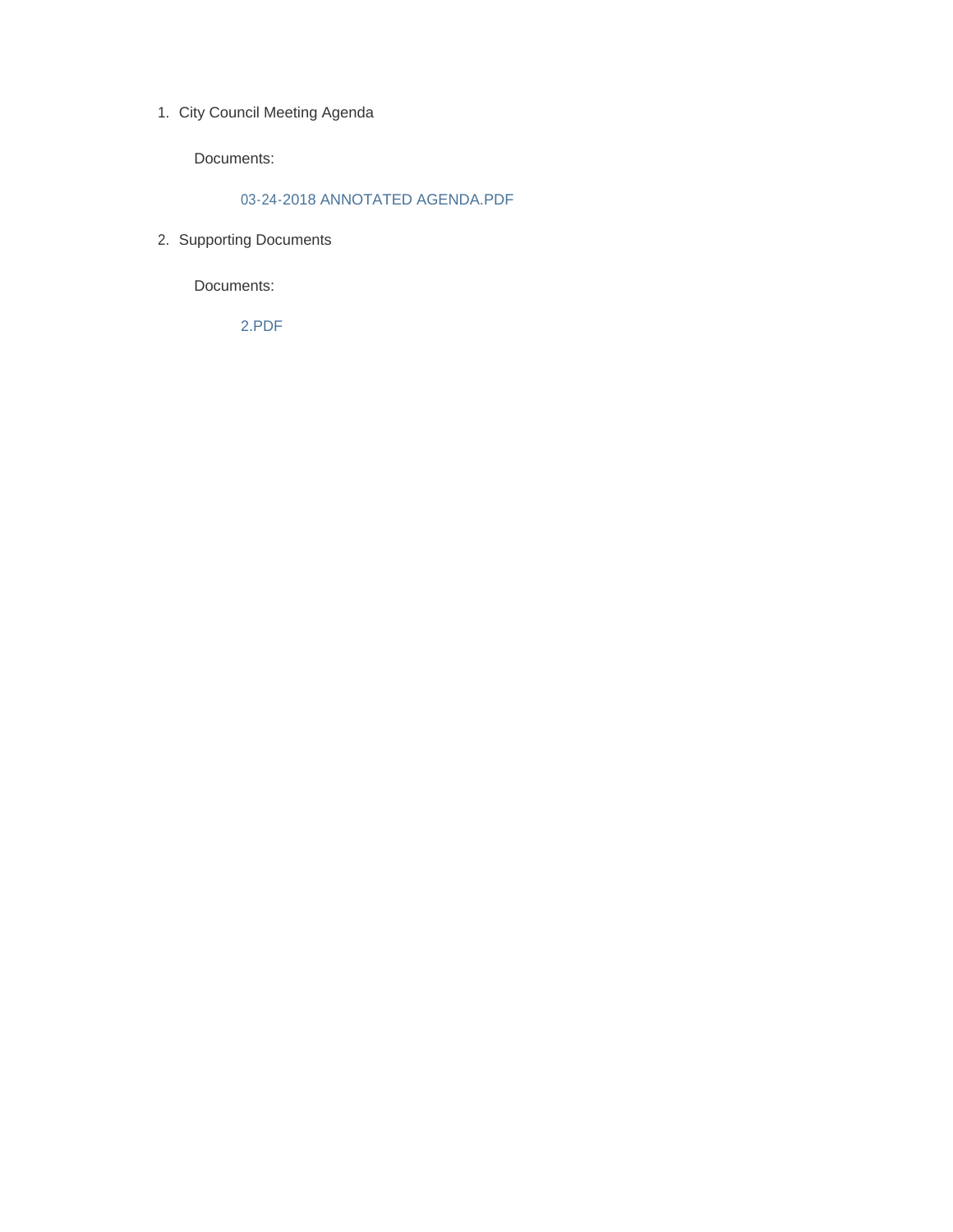1. City Council Meeting Agenda

Documents:

#### 03-24-2018 ANNOTATED AGENDA.PDF

2. Supporting Documents

Documents:

2.PDF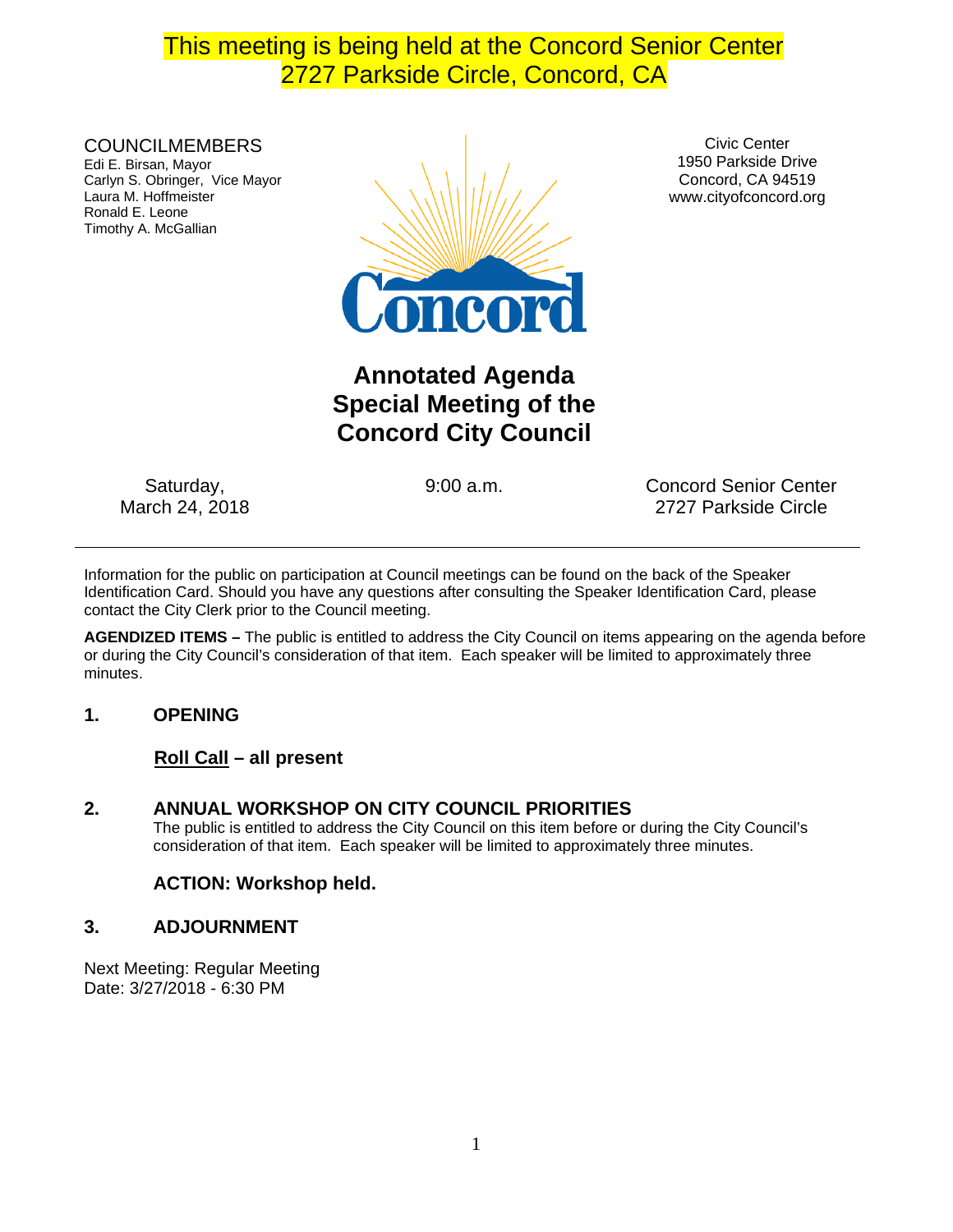# This meeting is being held at the Concord Senior Center 2727 Parkside Circle, Concord, CA

COUNCILMEMBERS Edi E. Birsan, Mayor Carlyn S. Obringer, Vice Mayor Laura M. Hoffmeister Ronald E. Leone Timothy A. McGallian



Civic Center 1950 Parkside Drive Concord, CA 94519 www.cityofconcord.org

# **Annotated Agenda Special Meeting of the Concord City Council**

Saturday, March 24, 2018

9:00 a.m. Concord Senior Center 2727 Parkside Circle

Information for the public on participation at Council meetings can be found on the back of the Speaker Identification Card. Should you have any questions after consulting the Speaker Identification Card, please contact the City Clerk prior to the Council meeting.

**AGENDIZED ITEMS –** The public is entitled to address the City Council on items appearing on the agenda before or during the City Council's consideration of that item. Each speaker will be limited to approximately three minutes.

## **1. OPENING**

## **Roll Call – all present**

#### **2. ANNUAL WORKSHOP ON CITY COUNCIL PRIORITIES**

The public is entitled to address the City Council on this item before or during the City Council's consideration of that item. Each speaker will be limited to approximately three minutes.

## **ACTION: Workshop held.**

## **3. ADJOURNMENT**

Next Meeting: Regular Meeting Date: 3/27/2018 - 6:30 PM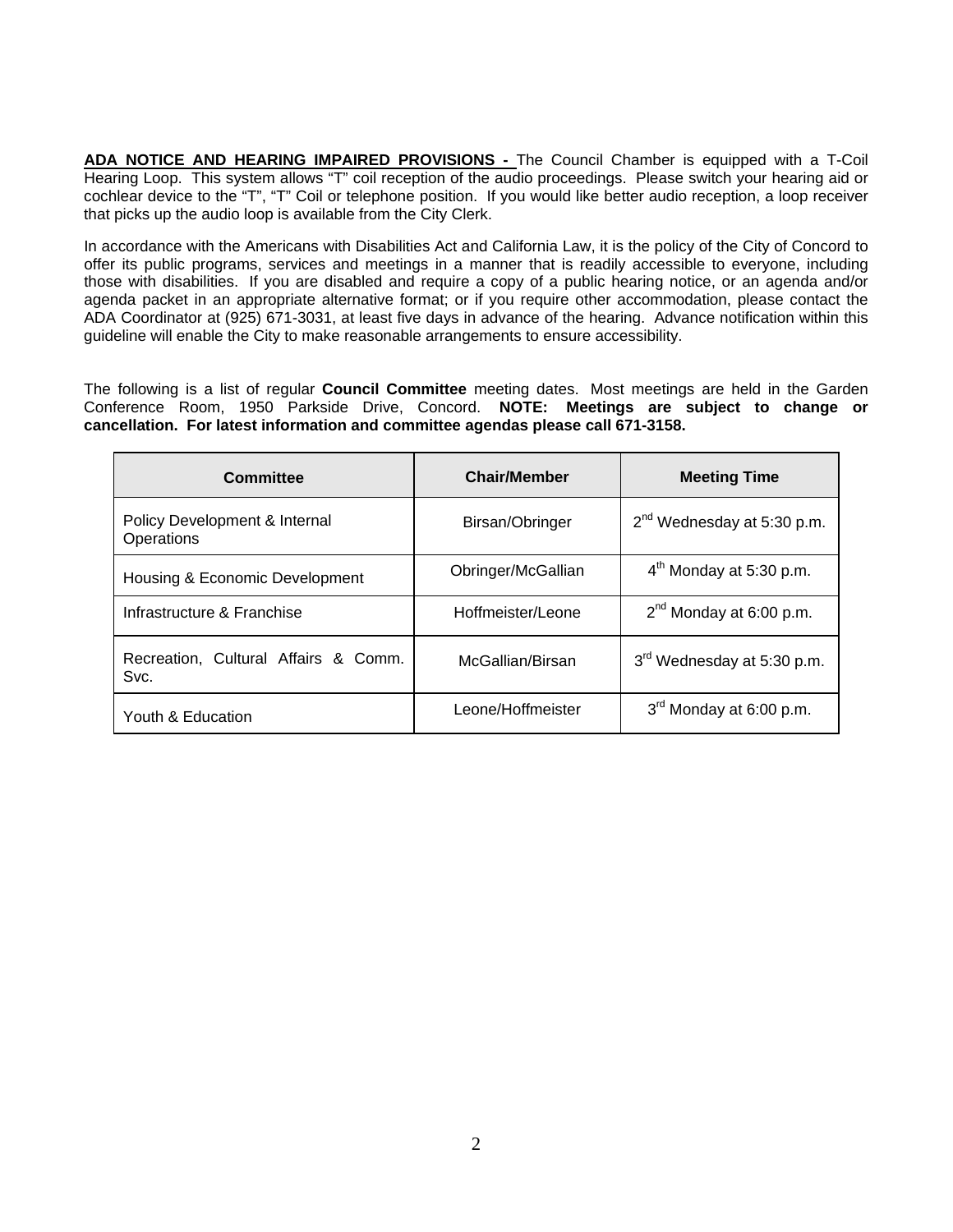**ADA NOTICE AND HEARING IMPAIRED PROVISIONS -** The Council Chamber is equipped with a T-Coil Hearing Loop. This system allows "T" coil reception of the audio proceedings. Please switch your hearing aid or cochlear device to the "T", "T" Coil or telephone position. If you would like better audio reception, a loop receiver that picks up the audio loop is available from the City Clerk.

In accordance with the Americans with Disabilities Act and California Law, it is the policy of the City of Concord to offer its public programs, services and meetings in a manner that is readily accessible to everyone, including those with disabilities. If you are disabled and require a copy of a public hearing notice, or an agenda and/or agenda packet in an appropriate alternative format; or if you require other accommodation, please contact the ADA Coordinator at (925) 671-3031, at least five days in advance of the hearing. Advance notification within this guideline will enable the City to make reasonable arrangements to ensure accessibility.

The following is a list of regular **Council Committee** meeting dates. Most meetings are held in the Garden Conference Room, 1950 Parkside Drive, Concord. **NOTE: Meetings are subject to change or cancellation. For latest information and committee agendas please call 671-3158.**

| <b>Committee</b>                             | <b>Chair/Member</b> | <b>Meeting Time</b>                    |
|----------------------------------------------|---------------------|----------------------------------------|
| Policy Development & Internal<br>Operations  | Birsan/Obringer     | $2^{nd}$ Wednesday at 5:30 p.m.        |
| Housing & Economic Development               | Obringer/McGallian  | $4th$ Monday at 5:30 p.m.              |
| Infrastructure & Franchise                   | Hoffmeister/Leone   | $2^{nd}$ Monday at 6:00 p.m.           |
| Recreation, Cultural Affairs & Comm.<br>Svc. | McGallian/Birsan    | 3 <sup>rd</sup> Wednesday at 5:30 p.m. |
| Youth & Education                            | Leone/Hoffmeister   | $3rd$ Monday at 6:00 p.m.              |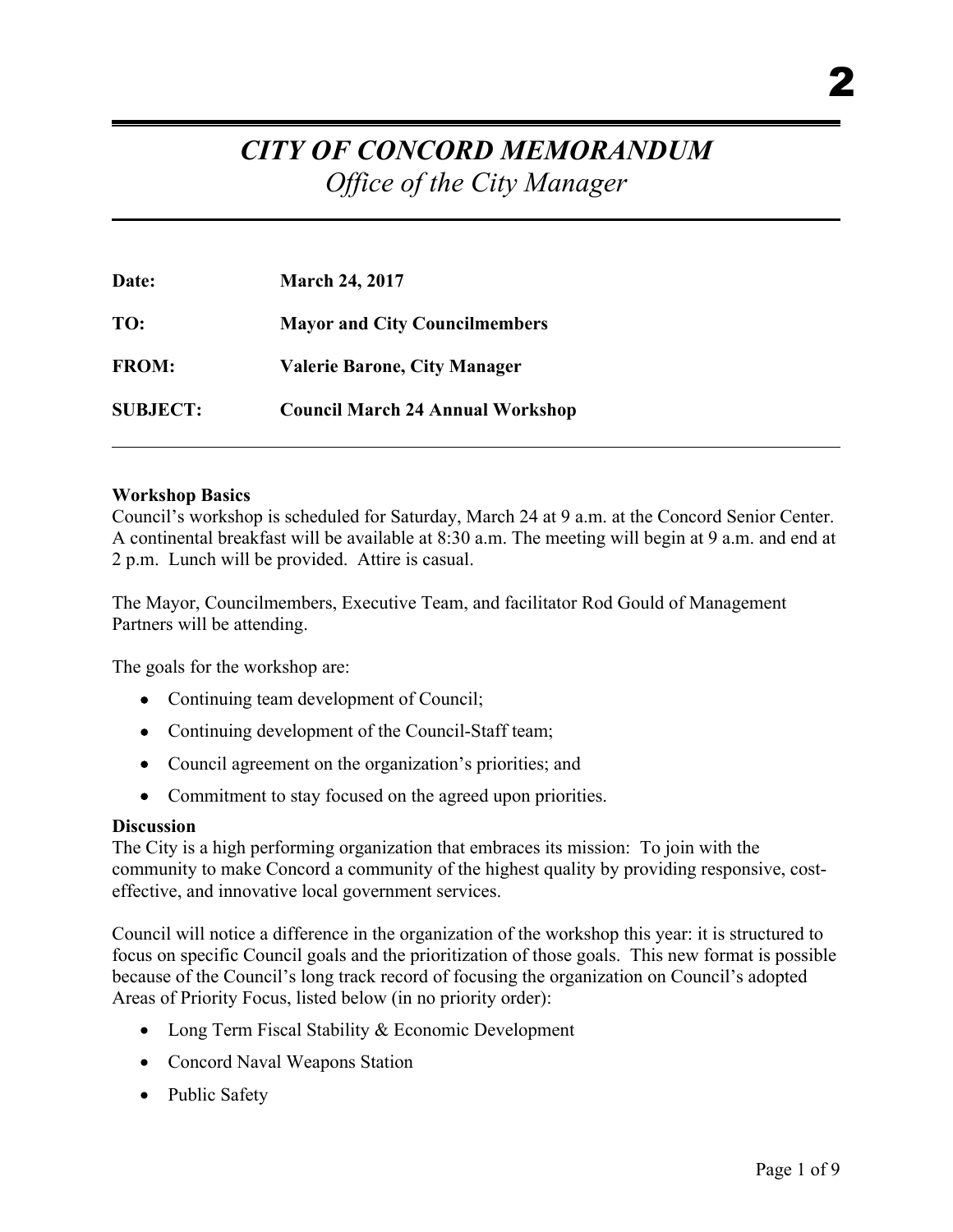# *CITY OF CONCORD MEMORANDUM Office of the City Manager*

| Date:           | <b>March 24, 2017</b>                   |  |
|-----------------|-----------------------------------------|--|
| TO:             | <b>Mayor and City Councilmembers</b>    |  |
| <b>FROM:</b>    | <b>Valerie Barone, City Manager</b>     |  |
| <b>SUBJECT:</b> | <b>Council March 24 Annual Workshop</b> |  |

#### **Workshop Basics**

Council's workshop is scheduled for Saturday, March 24 at 9 a.m. at the Concord Senior Center. A continental breakfast will be available at 8:30 a.m. The meeting will begin at 9 a.m. and end at 2 p.m. Lunch will be provided. Attire is casual.

The Mayor, Councilmembers, Executive Team, and facilitator Rod Gould of Management Partners will be attending.

The goals for the workshop are:

- Continuing team development of Council;
- Continuing development of the Council-Staff team;
- Council agreement on the organization's priorities; and
- Commitment to stay focused on the agreed upon priorities.

#### **Discussion**

The City is a high performing organization that embraces its mission: To join with the community to make Concord a community of the highest quality by providing responsive, costeffective, and innovative local government services.

Council will notice a difference in the organization of the workshop this year: it is structured to focus on specific Council goals and the prioritization of those goals. This new format is possible because of the Council's long track record of focusing the organization on Council's adopted Areas of Priority Focus, listed below (in no priority order):

- Long Term Fiscal Stability & Economic Development
- Concord Naval Weapons Station
- Public Safety

2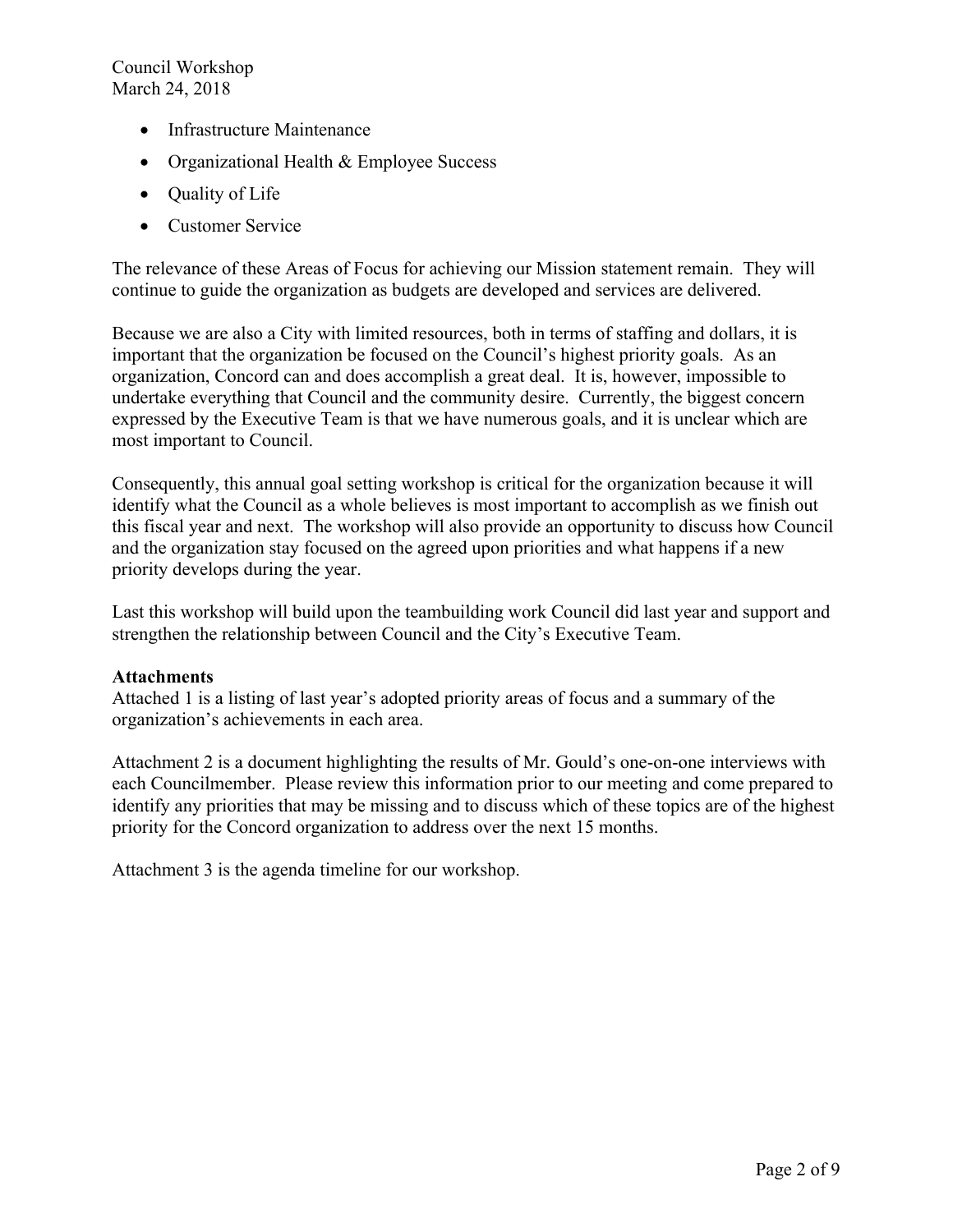Council Workshop March 24, 2018

- Infrastructure Maintenance
- Organizational Health & Employee Success
- Ouality of Life
- Customer Service

The relevance of these Areas of Focus for achieving our Mission statement remain. They will continue to guide the organization as budgets are developed and services are delivered.

Because we are also a City with limited resources, both in terms of staffing and dollars, it is important that the organization be focused on the Council's highest priority goals. As an organization, Concord can and does accomplish a great deal. It is, however, impossible to undertake everything that Council and the community desire. Currently, the biggest concern expressed by the Executive Team is that we have numerous goals, and it is unclear which are most important to Council.

Consequently, this annual goal setting workshop is critical for the organization because it will identify what the Council as a whole believes is most important to accomplish as we finish out this fiscal year and next. The workshop will also provide an opportunity to discuss how Council and the organization stay focused on the agreed upon priorities and what happens if a new priority develops during the year.

Last this workshop will build upon the teambuilding work Council did last year and support and strengthen the relationship between Council and the City's Executive Team.

#### **Attachments**

Attached 1 is a listing of last year's adopted priority areas of focus and a summary of the organization's achievements in each area.

Attachment 2 is a document highlighting the results of Mr. Gould's one-on-one interviews with each Councilmember. Please review this information prior to our meeting and come prepared to identify any priorities that may be missing and to discuss which of these topics are of the highest priority for the Concord organization to address over the next 15 months.

Attachment 3 is the agenda timeline for our workshop.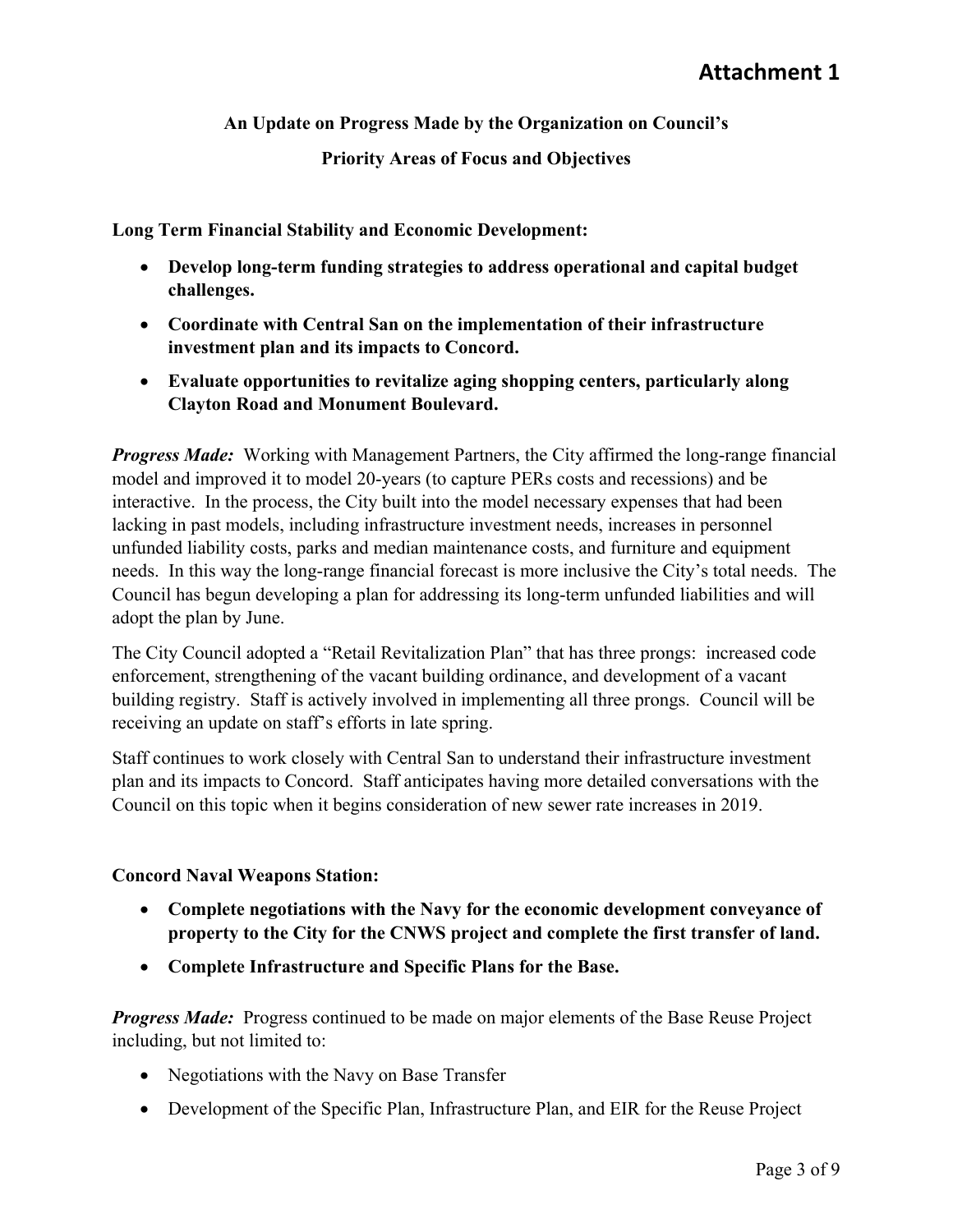## **An Update on Progress Made by the Organization on Council's**

**Priority Areas of Focus and Objectives**

**Long Term Financial Stability and Economic Development:**

- **Develop long-term funding strategies to address operational and capital budget challenges.**
- **Coordinate with Central San on the implementation of their infrastructure investment plan and its impacts to Concord.**
- **Evaluate opportunities to revitalize aging shopping centers, particularly along Clayton Road and Monument Boulevard.**

*Progress Made:* Working with Management Partners, the City affirmed the long-range financial model and improved it to model 20-years (to capture PERs costs and recessions) and be interactive. In the process, the City built into the model necessary expenses that had been lacking in past models, including infrastructure investment needs, increases in personnel unfunded liability costs, parks and median maintenance costs, and furniture and equipment needs. In this way the long-range financial forecast is more inclusive the City's total needs. The Council has begun developing a plan for addressing its long-term unfunded liabilities and will adopt the plan by June.

The City Council adopted a "Retail Revitalization Plan" that has three prongs: increased code enforcement, strengthening of the vacant building ordinance, and development of a vacant building registry. Staff is actively involved in implementing all three prongs. Council will be receiving an update on staff's efforts in late spring.

Staff continues to work closely with Central San to understand their infrastructure investment plan and its impacts to Concord. Staff anticipates having more detailed conversations with the Council on this topic when it begins consideration of new sewer rate increases in 2019.

#### **Concord Naval Weapons Station:**

- **Complete negotiations with the Navy for the economic development conveyance of property to the City for the CNWS project and complete the first transfer of land.**
- **Complete Infrastructure and Specific Plans for the Base.**

*Progress Made:* Progress continued to be made on major elements of the Base Reuse Project including, but not limited to:

- Negotiations with the Navy on Base Transfer
- Development of the Specific Plan, Infrastructure Plan, and EIR for the Reuse Project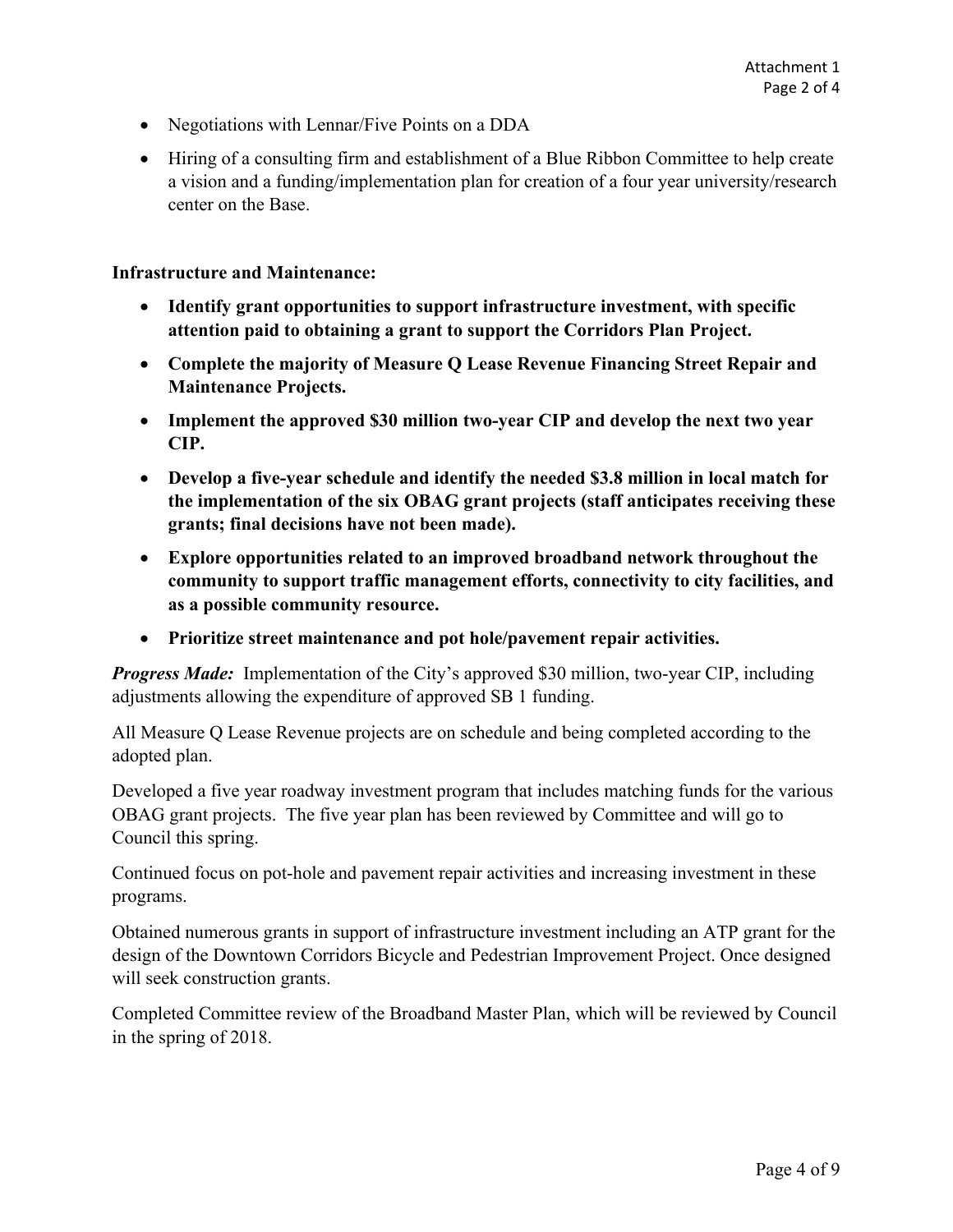- Negotiations with Lennar/Five Points on a DDA
- Hiring of a consulting firm and establishment of a Blue Ribbon Committee to help create a vision and a funding/implementation plan for creation of a four year university/research center on the Base.

#### **Infrastructure and Maintenance:**

- **Identify grant opportunities to support infrastructure investment, with specific attention paid to obtaining a grant to support the Corridors Plan Project.**
- **Complete the majority of Measure Q Lease Revenue Financing Street Repair and Maintenance Projects.**
- **Implement the approved \$30 million two-year CIP and develop the next two year CIP.**
- **Develop a five-year schedule and identify the needed \$3.8 million in local match for the implementation of the six OBAG grant projects (staff anticipates receiving these grants; final decisions have not been made).**
- **Explore opportunities related to an improved broadband network throughout the community to support traffic management efforts, connectivity to city facilities, and as a possible community resource.**
- **Prioritize street maintenance and pot hole/pavement repair activities.**

*Progress Made:* Implementation of the City's approved \$30 million, two-year CIP, including adjustments allowing the expenditure of approved SB 1 funding.

All Measure Q Lease Revenue projects are on schedule and being completed according to the adopted plan.

Developed a five year roadway investment program that includes matching funds for the various OBAG grant projects. The five year plan has been reviewed by Committee and will go to Council this spring.

Continued focus on pot-hole and pavement repair activities and increasing investment in these programs.

Obtained numerous grants in support of infrastructure investment including an ATP grant for the design of the Downtown Corridors Bicycle and Pedestrian Improvement Project. Once designed will seek construction grants.

Completed Committee review of the Broadband Master Plan, which will be reviewed by Council in the spring of 2018.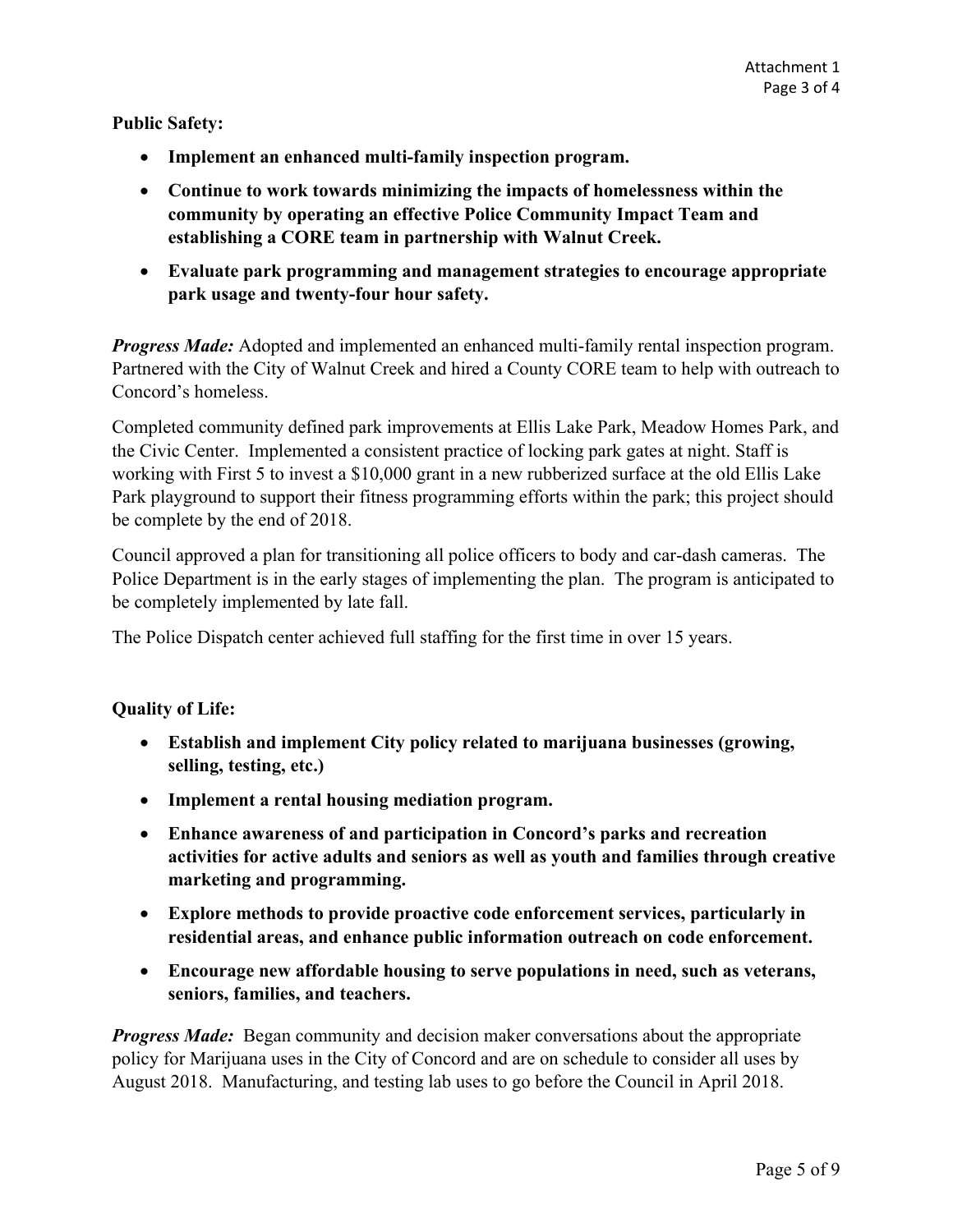**Public Safety:**

- **Implement an enhanced multi-family inspection program.**
- **Continue to work towards minimizing the impacts of homelessness within the community by operating an effective Police Community Impact Team and establishing a CORE team in partnership with Walnut Creek.**
- **Evaluate park programming and management strategies to encourage appropriate park usage and twenty-four hour safety.**

*Progress Made:* Adopted and implemented an enhanced multi-family rental inspection program. Partnered with the City of Walnut Creek and hired a County CORE team to help with outreach to Concord's homeless.

Completed community defined park improvements at Ellis Lake Park, Meadow Homes Park, and the Civic Center. Implemented a consistent practice of locking park gates at night. Staff is working with First 5 to invest a \$10,000 grant in a new rubberized surface at the old Ellis Lake Park playground to support their fitness programming efforts within the park; this project should be complete by the end of 2018.

Council approved a plan for transitioning all police officers to body and car-dash cameras. The Police Department is in the early stages of implementing the plan. The program is anticipated to be completely implemented by late fall.

The Police Dispatch center achieved full staffing for the first time in over 15 years.

#### **Quality of Life:**

- **Establish and implement City policy related to marijuana businesses (growing, selling, testing, etc.)**
- **Implement a rental housing mediation program.**
- **Enhance awareness of and participation in Concord's parks and recreation activities for active adults and seniors as well as youth and families through creative marketing and programming.**
- **Explore methods to provide proactive code enforcement services, particularly in residential areas, and enhance public information outreach on code enforcement.**
- **Encourage new affordable housing to serve populations in need, such as veterans, seniors, families, and teachers.**

*Progress Made:* Began community and decision maker conversations about the appropriate policy for Marijuana uses in the City of Concord and are on schedule to consider all uses by August 2018. Manufacturing, and testing lab uses to go before the Council in April 2018.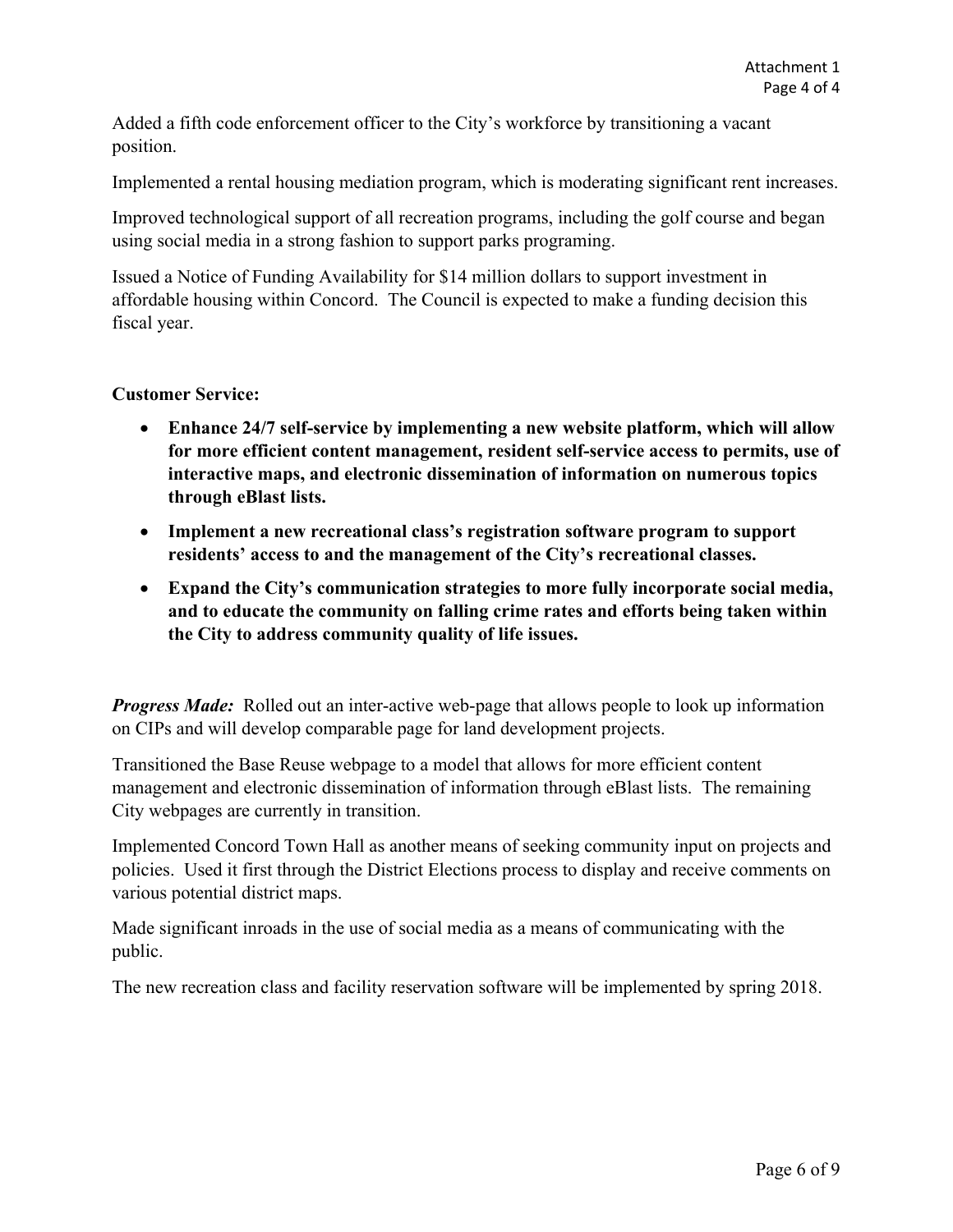Added a fifth code enforcement officer to the City's workforce by transitioning a vacant position.

Implemented a rental housing mediation program, which is moderating significant rent increases.

Improved technological support of all recreation programs, including the golf course and began using social media in a strong fashion to support parks programing.

Issued a Notice of Funding Availability for \$14 million dollars to support investment in affordable housing within Concord. The Council is expected to make a funding decision this fiscal year.

#### **Customer Service:**

- **Enhance 24/7 self-service by implementing a new website platform, which will allow for more efficient content management, resident self-service access to permits, use of interactive maps, and electronic dissemination of information on numerous topics through eBlast lists.**
- **Implement a new recreational class's registration software program to support residents' access to and the management of the City's recreational classes.**
- **Expand the City's communication strategies to more fully incorporate social media, and to educate the community on falling crime rates and efforts being taken within the City to address community quality of life issues.**

*Progress Made:* Rolled out an inter-active web-page that allows people to look up information on CIPs and will develop comparable page for land development projects.

Transitioned the Base Reuse webpage to a model that allows for more efficient content management and electronic dissemination of information through eBlast lists. The remaining City webpages are currently in transition.

Implemented Concord Town Hall as another means of seeking community input on projects and policies. Used it first through the District Elections process to display and receive comments on various potential district maps.

Made significant inroads in the use of social media as a means of communicating with the public.

The new recreation class and facility reservation software will be implemented by spring 2018.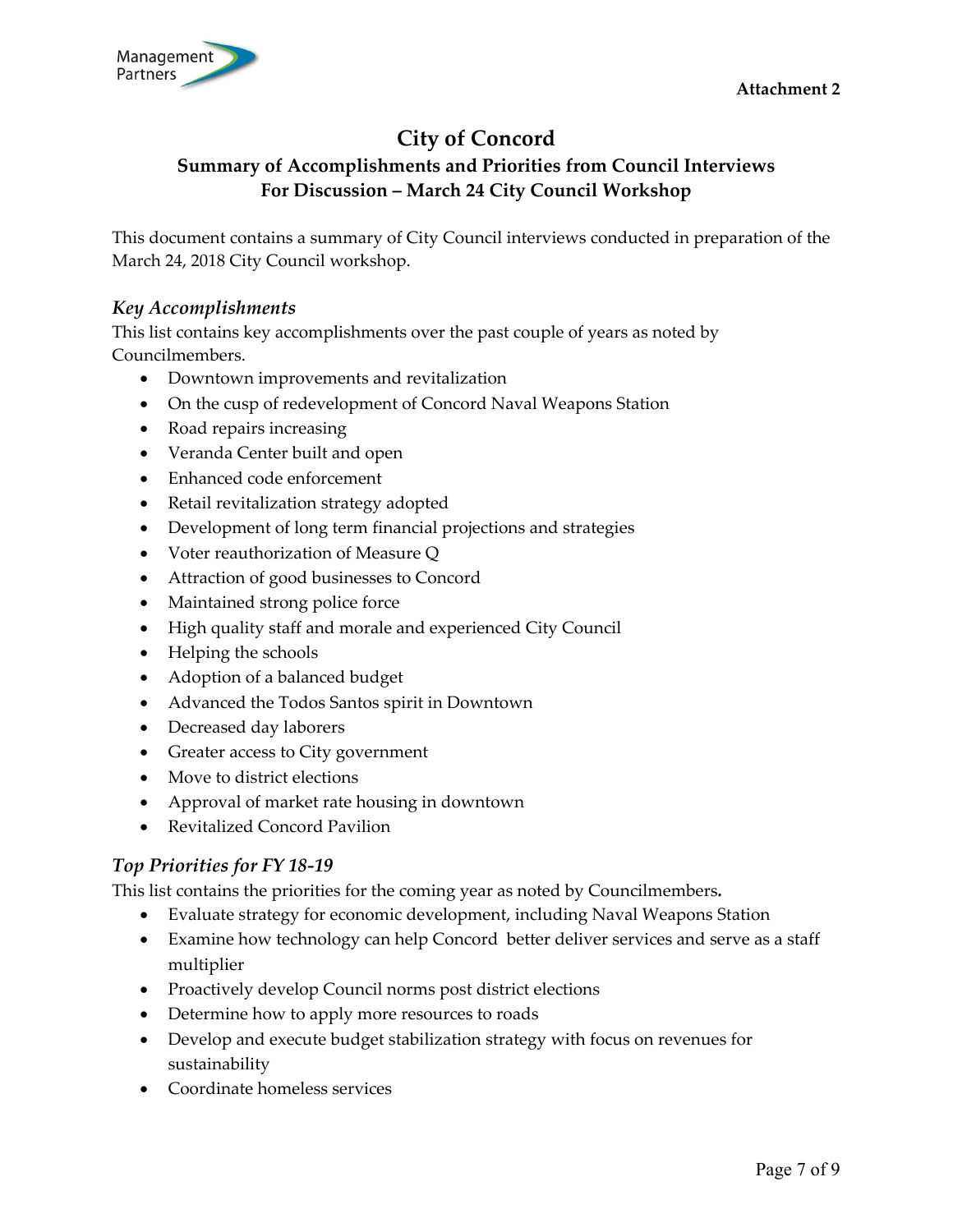

# **City of Concord**

# **Summary of Accomplishments and Priorities from Council Interviews For Discussion – March 24 City Council Workshop**

This document contains a summary of City Council interviews conducted in preparation of the March 24, 2018 City Council workshop.

## *Key Accomplishments*

This list contains key accomplishments over the past couple of years as noted by Councilmembers.

- Downtown improvements and revitalization
- On the cusp of redevelopment of Concord Naval Weapons Station
- Road repairs increasing
- Veranda Center built and open
- Enhanced code enforcement
- Retail revitalization strategy adopted
- Development of long term financial projections and strategies
- Voter reauthorization of Measure Q
- Attraction of good businesses to Concord
- Maintained strong police force
- High quality staff and morale and experienced City Council
- Helping the schools
- Adoption of a balanced budget
- Advanced the Todos Santos spirit in Downtown
- Decreased day laborers
- Greater access to City government
- Move to district elections
- Approval of market rate housing in downtown
- Revitalized Concord Pavilion

## *Top Priorities for FY 18-19*

This list contains the priorities for the coming year as noted by Councilmembers*.*

- Evaluate strategy for economic development, including Naval Weapons Station
- Examine how technology can help Concord better deliver services and serve as a staff multiplier
- Proactively develop Council norms post district elections
- Determine how to apply more resources to roads
- Develop and execute budget stabilization strategy with focus on revenues for sustainability
- Coordinate homeless services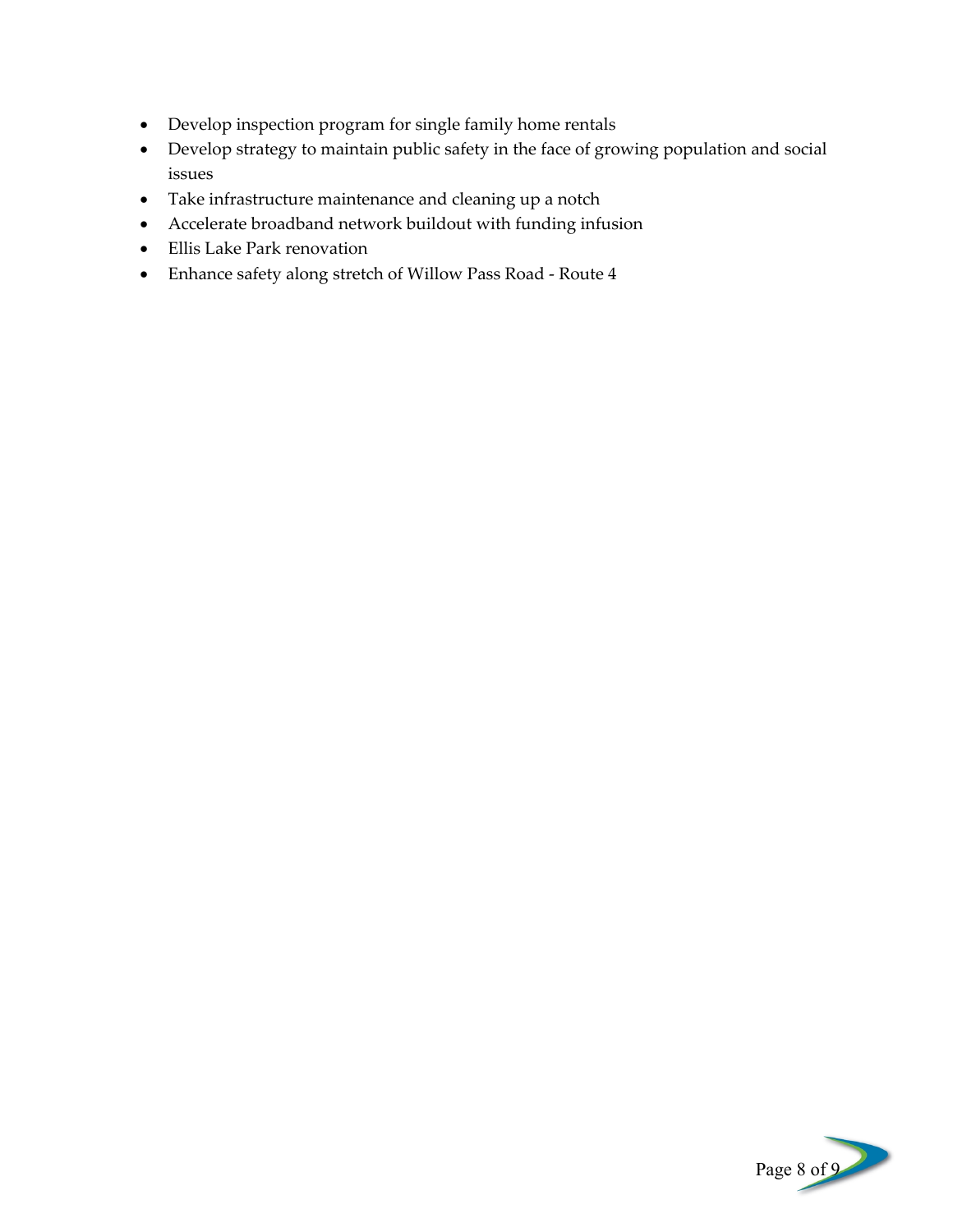- Develop inspection program for single family home rentals
- Develop strategy to maintain public safety in the face of growing population and social issues
- Take infrastructure maintenance and cleaning up a notch
- Accelerate broadband network buildout with funding infusion
- Ellis Lake Park renovation
- Enhance safety along stretch of Willow Pass Road Route 4